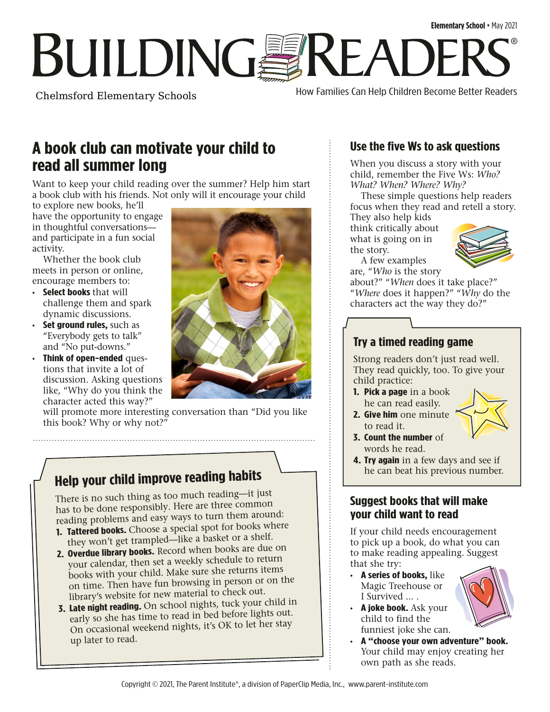## **Elementary School** • May 2021 **BUILDINGSREADE** ®

Chelmsford Elementary Schools

How Families Can Help Children Become Better Readers

## **A book club can motivate your child to read all summer long**

Want to keep your child reading over the summer? Help him start a book club with his friends. Not only will it encourage your child

to explore new books, he'll have the opportunity to engage in thoughtful conversations and participate in a fun social activity.

Whether the book club meets in person or online, encourage members to:

- **Select books** that will challenge them and spark dynamic discussions.
- **Set ground rules,** such as "Everybody gets to talk" and "No put-downs."
- **Think of open-ended** questions that invite a lot of discussion. Asking questions like, "Why do you think the character acted this way?"

will promote more interesting conversation than "Did you like this book? Why or why not?"

## **Help your child improve reading habits**

There is no such thing as too much reading—it just has to be done responsibly. Here are three common reading problems and easy ways to turn them around:

- **1. Tattered books.** Choose a special spot for books where they won't get trampled—like a basket or a shelf.
- **2. Overdue library books.** Record when books are due on your calendar, then set a weekly schedule to return books with your child. Make sure she returns items on time. Then have fun browsing in person or on the library's website for new material to check out.
- **3. Late night reading.** On school nights, tuck your child in early so she has time to read in bed before lights out. On occasional weekend nights, it's OK to let her stay up later to read.

## **Use the five Ws to ask questions**

When you discuss a story with your child, remember the Five Ws: *Who? What? When? Where? Why?* 

These simple questions help readers focus when they read and retell a story. They also help kids

think critically about what is going on in the story.



A few examples are, "*Who* is the story about?" "*When* does it take place?"

"*Where* does it happen?" "*Why* do the characters act the way they do?"

#### **Try a timed reading game**

Strong readers don't just read well. They read quickly, too. To give your child practice:

- **1. Pick a page** in a book he can read easily.
- **2. Give him** one minute to read it.



- **3. Count the number** of words he read.
- **4. Try again** in a few days and see if he can beat his previous number.

#### **Suggest books that will make your child want to read**

If your child needs encouragement to pick up a book, do what you can to make reading appealing. Suggest that she try:

- **A series of books,** like Magic Treehouse or I Survived ... .
- **A joke book.** Ask your child to find the funniest joke she can.
- 
- **A "choose your own adventure" book.**  Your child may enjoy creating her own path as she reads.